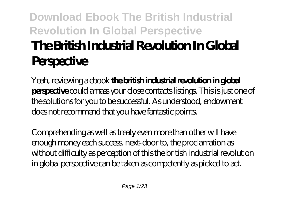# **Download Ebook The British Industrial Revolution In Global Perspective The British Industrial Revolution In Global Perspective**

Yeah, reviewing a ebook **the british industrial revolution in global perspective** could amass your close contacts listings. This is just one of the solutions for you to be successful. As understood, endowment does not recommend that you have fantastic points.

Comprehending as well as treaty even more than other will have enough money each success. next-door to, the proclamation as without difficulty as perception of this the british industrial revolution in global perspective can be taken as competently as picked to act.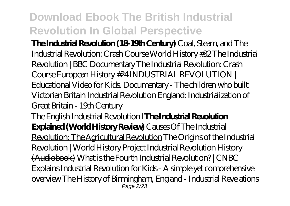**The Industrial Revolution (18-19th Century)** Coal, Steam, and The Industrial Revolution: Crash Course World History #32 *The Industrial Revolution | BBC Documentary The Industrial Revolution: Crash Course European History #24 INDUSTRIAL REVOLUTION | Educational Video for Kids. Documentary - The children who built Victorian Britain* Industrial Revolution England: Industrialization of Great Britain - 19th Century

The English Industrial Revolution I**The Industrial Revolution Explained (World History Review)** Causes Of The Industrial Revolution: The Agricultural Revolution The Origins of the Industrial Revolution | World History Project Industrial Revolution History (Audiobook) *What is the Fourth Industrial Revolution? | CNBC Explains Industrial Revolution for Kids - A simple yet comprehensive overview* The History of Birmingham, England - Industrial Revelations Page  $2/23$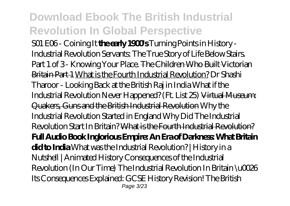S01 E06 - Coining It **the early 1900s** Turning Points in History -Industrial Revolution *Servants: The True Story of Life Below Stairs. Part 1 of 3 - Knowing Your Place.* The Children Who Built Victorian Britain Part 1 What is the Fourth Industrial Revolution? *Dr Shashi Tharoor - Looking Back at the British Raj in India What if the Industrial Revolution Never Happened? (Ft. List 25)* Virtual Museum: Quakers, Guns and the British Industrial Revolution Why the Industrial Revolution Started in England Why Did The Industrial Revolution Start In Britain? What is the Fourth Industrial Revolution? **Full Audio Book Inglorious Empire: An Era of Darkness: What Britain did to India** *What was the Industrial Revolution? | History in a Nutshell | Animated History* Consequences of the Industrial Revolution (In Our Time) The Industrial Revolution In Britain \u0026 Its Consequences Explained: GCSE History Revision! *The British* Page 3/23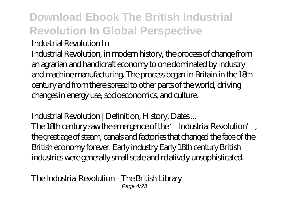#### *Industrial Revolution In*

Industrial Revolution, in modern history, the process of change from an agrarian and handicraft economy to one dominated by industry and machine manufacturing. The process began in Britain in the 18th century and from there spread to other parts of the world, driving changes in energy use, socioeconomics, and culture.

#### *Industrial Revolution | Definition, History, Dates ...*

The 18th century saw the emergence of the 'Industrial Revolution', the great age of steam, canals and factories that changed the face of the British economy forever. Early industry Early 18th century British industries were generally small scale and relatively unsophisticated.

*The Industrial Revolution - The British Library* Page 4/23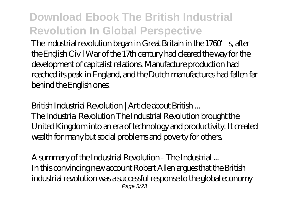The industrial revolution began in Great Britain in the 1760 s, after the English Civil War of the 17th century had cleared the way for the development of capitalist relations. Manufacture production had reached its peak in England, and the Dutch manufactures had fallen far behind the English ones.

#### *British Industrial Revolution | Article about British ...*

The Industrial Revolution The Industrial Revolution brought the United Kingdom into an era of technology and productivity. It created wealth for many but social problems and poverty for others.

*A summary of the Industrial Revolution - The Industrial ...* In this convincing new account Robert Allen argues that the British industrial revolution was a successful response to the global economy Page 5/23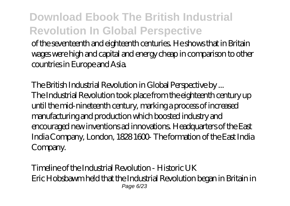of the seventeenth and eighteenth centuries. He shows that in Britain wages were high and capital and energy cheap in comparison to other countries in Europe and Asia.

*The British Industrial Revolution in Global Perspective by ...* The Industrial Revolution took place from the eighteenth century up until the mid-nineteenth century, marking a process of increased manufacturing and production which boosted industry and encouraged new inventions ad innovations. Headquarters of the East India Company, London, 1828 1600 The formation of the East India Company.

*Timeline of the Industrial Revolution - Historic UK* Eric Hobsbawm held that the Industrial Revolution began in Britain in Page 6/23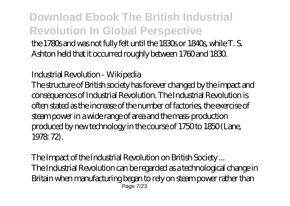the 1780s and was not fully felt until the 1830s or 1840s, while T. S. Ashton held that it occurred roughly between 1760 and 1830.

#### *Industrial Revolution - Wikipedia*

The structure of British society has forever changed by the impact and consequences of Industrial Revolution. The Industrial Revolution is often stated as the increase of the number of factories, the exercise of steam power in a wide range of area and the mass-production produced by new technology in the course of 1750 to 1850 (Lane, 1978: 72).

*The Impact of the Industrial Revolution on British Society ...* The Industrial Revolution can be regarded as a technological change in Britain when manufacturing began to rely on steam power rather than Page 7/23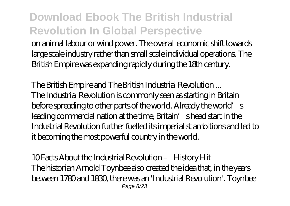on animal labour or wind power. The overall economic shift towards large scale industry rather than small scale individual operations. The British Empire was expanding rapidly during the 18th century.

*The British Empire and The British Industrial Revolution ...* The Industrial Revolution is commonly seen as starting in Britain before spreading to other parts of the world. Already the world's leading commercial nation at the time, Britain' shead start in the Industrial Revolution further fuelled its imperialist ambitions and led to it becoming the most powerful country in the world.

*10 Facts About the Industrial Revolution – History Hit* The historian Arnold Toynbee also created the idea that, in the years between 1780 and 1830, there was an 'Industrial Revolution'. Toynbee Page 8/23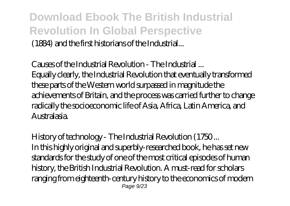**Download Ebook The British Industrial Revolution In Global Perspective** (1884) and the first historians of the Industrial...

*Causes of the Industrial Revolution - The Industrial ...* Equally clearly, the Industrial Revolution that eventually transformed these parts of the Western world surpassed in magnitude the achievements of Britain, and the process was carried further to change radically the socioeconomic life of Asia, Africa, Latin America, and Australasia.

*History of technology - The Industrial Revolution (1750 ...* In this highly original and superbly-researched book, he has set new standards for the study of one of the most critical episodes of human history, the British Industrial Revolution. A must-read for scholars ranging from eighteenth-century history to the economics of modern Page 9/23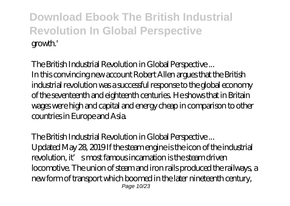*The British Industrial Revolution in Global Perspective ...* In this convincing new account Robert Allen argues that the British industrial revolution was a successful response to the global economy of the seventeenth and eighteenth centuries. He shows that in Britain wages were high and capital and energy cheap in comparison to other countries in Europe and Asia.

#### *The British Industrial Revolution in Global Perspective ...* Updated May 28, 2019 If the steam engine is the icon of the industrial

revolution, it's most famous incarnation is the steam driven locomotive. The union of steam and iron rails produced the railways, a new form of transport which boomed in the later nineteenth century, Page 10/23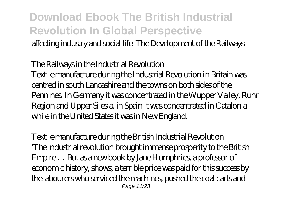### **Download Ebook The British Industrial Revolution In Global Perspective** affecting industry and social life. The Development of the Railways

#### *The Railways in the Industrial Revolution*

Textile manufacture during the Industrial Revolution in Britain was centred in south Lancashire and the towns on both sides of the Pennines. In Germany it was concentrated in the Wupper Valley, Ruhr Region and Upper Silesia, in Spain it was concentrated in Catalonia while in the United States it was in New England.

*Textile manufacture during the British Industrial Revolution* 'The industrial revolution brought immense prosperity to the British Empire … But as a new book by Jane Humphries, a professor of economic history, shows, a terrible price was paid for this success by the labourers who serviced the machines, pushed the coal carts and Page 11/23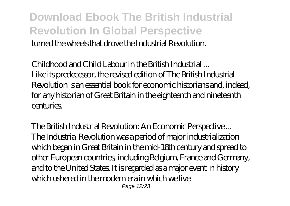### **Download Ebook The British Industrial Revolution In Global Perspective** turned the wheels that drove the Industrial Revolution.

*Childhood and Child Labour in the British Industrial ...* Like its predecessor, the revised edition of The British Industrial Revolution is an essential book for economic historians and, indeed, for any historian of Great Britain in the eighteenth and nineteenth centuries.

*The British Industrial Revolution: An Economic Perspective ...* The Industrial Revolution was a period of major industrialization which began in Great Britain in the mid-18th century and spread to other European countries, including Belgium, France and Germany, and to the United States. It is regarded as a major event in history which ushered in the modern era in which we live. Page 12/23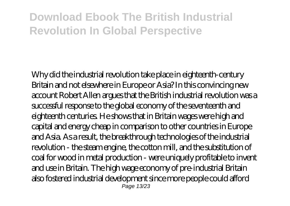Why did the industrial revolution take place in eighteenth-century Britain and not elsewhere in Europe or Asia? In this convincing new account Robert Allen argues that the British industrial revolution was a successful response to the global economy of the seventeenth and eighteenth centuries. He shows that in Britain wages were high and capital and energy cheap in comparison to other countries in Europe and Asia. As a result, the breakthrough technologies of the industrial revolution - the steam engine, the cotton mill, and the substitution of coal for wood in metal production - were uniquely profitable to invent and use in Britain. The high wage economy of pre-industrial Britain also fostered industrial development since more people could afford Page 13/23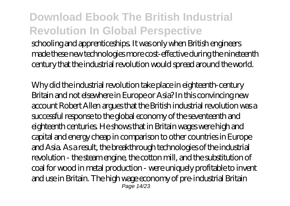schooling and apprenticeships. It was only when British engineers made these new technologies more cost-effective during the nineteenth century that the industrial revolution would spread around the world.

Why did the industrial revolution take place in eighteenth-century Britain and not elsewhere in Europe or Asia? In this convincing new account Robert Allen argues that the British industrial revolution was a successful response to the global economy of the seventeenth and eighteenth centuries. He shows that in Britain wages were high and capital and energy cheap in comparison to other countries in Europe and Asia. As a result, the breakthrough technologies of the industrial revolution - the steam engine, the cotton mill, and the substitution of coal for wood in metal production - were uniquely profitable to invent and use in Britain. The high wage economy of pre-industrial Britain Page 14/23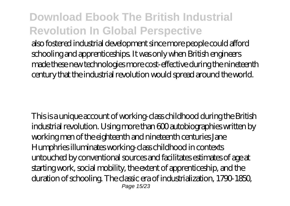also fostered industrial development since more people could afford schooling and apprenticeships. It was only when British engineers made these new technologies more cost-effective during the nineteenth century that the industrial revolution would spread around the world.

This is a unique account of working-class childhood during the British industrial revolution. Using more than 600 autobiographies written by working men of the eighteenth and nineteenth centuries Jane Humphries illuminates working-class childhood in contexts untouched by conventional sources and facilitates estimates of age at starting work, social mobility, the extent of apprenticeship, and the duration of schooling. The classic era of industrialization, 1790-1850, Page 15/23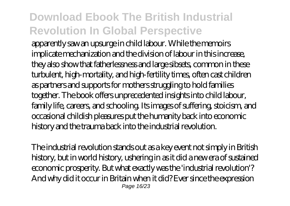apparently saw an upsurge in child labour. While the memoirs implicate mechanization and the division of labour in this increase, they also show that fatherlessness and large sibsets, common in these turbulent, high-mortality, and high-fertility times, often cast children as partners and supports for mothers struggling to hold families together. The book offers unprecedented insights into child labour, family life, careers, and schooling. Its images of suffering, stoicism, and occasional childish pleasures put the humanity back into economic history and the trauma back into the industrial revolution.

The industrial revolution stands out as a key event not simply in British history, but in world history, ushering in as it did a new era of sustained economic prosperity. But what exactly was the 'industrial revolution'? And why did it occur in Britain when it did? Ever since the expression Page 16/23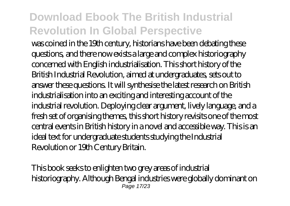was coined in the 19th century, historians have been debating these questions, and there now exists a large and complex historiography concerned with English industrialisation. This short history of the British Industrial Revolution, aimed at undergraduates, sets out to answer these questions. It will synthesise the latest research on British industrialisation into an exciting and interesting account of the industrial revolution. Deploying clear argument, lively language, and a fresh set of organising themes, this short history revisits one of the most central events in British history in a novel and accessible way. This is an ideal text for undergraduate students studying the Industrial Revolution or 19th Century Britain.

This book seeks to enlighten two grey areas of industrial historiography. Although Bengal industries were globally dominant on Page 17/23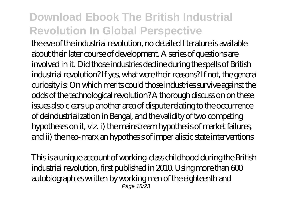the eve of the industrial revolution, no detailed literature is available about their later course of development. A series of questions are involved in it. Did those industries decline during the spells of British industrial revolution? If yes, what were their reasons? If not, the general curiosity is: On which merits could those industries survive against the odds of the technological revolution? A thorough discussion on these issues also clears up another area of dispute relating to the occurrence of deindustrialization in Bengal, and the validity of two competing hypotheses on it, viz. i) the mainstream hypothesis of market failures, and ii) the neo-marxian hypothesis of imperialistic state interventions

This is a unique account of working-class childhood during the British industrial revolution, first published in 2010. Using more than 600 autobiographies written by working men of the eighteenth and Page 18/23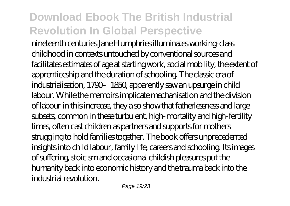nineteenth centuries Jane Humphries illuminates working-class childhood in contexts untouched by conventional sources and facilitates estimates of age at starting work, social mobility, the extent of apprenticeship and the duration of schooling. The classic era of industrialisation, 1790–1850, apparently saw an upsurge in child labour. While the memoirs implicate mechanisation and the division of labour in this increase, they also show that fatherlessness and large subsets, common in these turbulent, high-mortality and high-fertility times, often cast children as partners and supports for mothers struggling to hold families together. The book offers unprecedented insights into child labour, family life, careers and schooling. Its images of suffering, stoicism and occasional childish pleasures put the humanity back into economic history and the trauma back into the industrial revolution.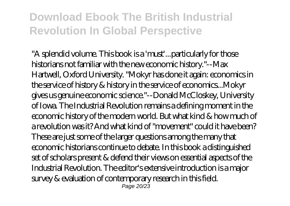"A splendid volume. This book is a 'must'...particularly for those historians not familiar with the new economic history."--Max Hartwell, Oxford University. "Mokyr has done it again: economics in the service of history & history in the service of economics...Mokyr gives us genuine economic science."--Donald McCloskey, University of Iowa. The Industrial Revolution remains a defining moment in the economic history of the modern world. But what kind & how much of a revolution was it? And what kind of "movement" could it have been? These are just some of the larger questions among the many that economic historians continue to debate. In this book a distinguished set of scholars present & defend their views on essential aspects of the Industrial Revolution. The editor's extensive introduction is a major survey & evaluation of contemporary research in this field. Page 20/23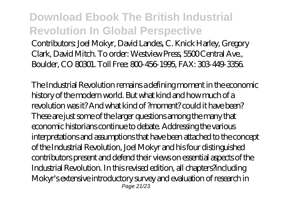Contributors: Joel Mokyr, David Landes, C. Knick Harley, Gregory Clark, David Mitch. To order: Westview Press, 5500 Central Ave., Boulder, CO 80301. Toll Free: 800-456-1995, FAX: 303-449-3356.

The Industrial Revolution remains a defining moment in the economic history of the modern world. But what kind and how much of a revolution was it? And what kind of ?moment? could it have been? These are just some of the larger questions among the many that economic historians continue to debate. Addressing the various interpretations and assumptions that have been attached to the concept of the Industrial Revolution, Joel Mokyr and his four distinguished contributors present and defend their views on essential aspects of the Industrial Revolution. In this revised edition, all chapters?including Mokyr's extensive introductory survey and evaluation of research in Page 21/23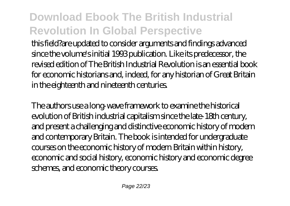this field?are updated to consider arguments and findings advanced since the volume's initial 1993 publication. Like its predecessor, the revised edition of The British Industrial Revolution is an essential book for economic historians and, indeed, for any historian of Great Britain in the eighteenth and nineteenth centuries.

The authors use a long-wave framework to examine the historical evolution of British industrial capitalism since the late-18th century, and present a challenging and distinctive economic history of modern and contemporary Britain. The book is intended for undergraduate courses on the economic history of modern Britain within history, economic and social history, economic history and economic degree schemes, and economic theory courses.